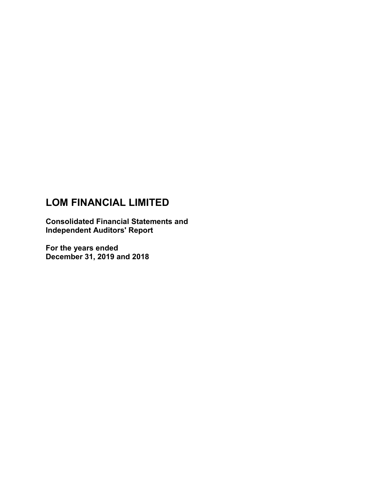# **LOM FINANCIAL LIMITED**

**Consolidated Financial Statements and Independent Auditors' Report**

**For the years ended December 31, 2019 and 2018**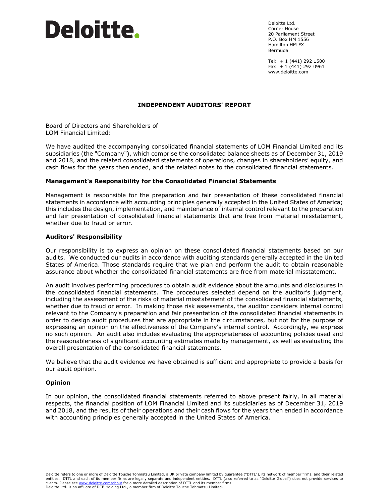# Deloitte.

Deloitte Ltd. Corner House 20 Parliament Street P.O. Box HM 1556 Hamilton HM FX Bermuda

Tel: + 1 (441) 292 1500 Fax: + 1 (441) 292 0961 www.deloitte.com

#### **INDEPENDENT AUDITORS' REPORT**

Board of Directors and Shareholders of LOM Financial Limited:

We have audited the accompanying consolidated financial statements of LOM Financial Limited and its subsidiaries (the "Company"), which comprise the consolidated balance sheets as of December 31, 2019 and 2018, and the related consolidated statements of operations, changes in shareholders' equity, and cash flows for the years then ended, and the related notes to the consolidated financial statements.

#### **Management's Responsibility for the Consolidated Financial Statements**

Management is responsible for the preparation and fair presentation of these consolidated financial statements in accordance with accounting principles generally accepted in the United States of America; this includes the design, implementation, and maintenance of internal control relevant to the preparation and fair presentation of consolidated financial statements that are free from material misstatement, whether due to fraud or error.

#### **Auditors' Responsibility**

Our responsibility is to express an opinion on these consolidated financial statements based on our audits. We conducted our audits in accordance with auditing standards generally accepted in the United States of America. Those standards require that we plan and perform the audit to obtain reasonable assurance about whether the consolidated financial statements are free from material misstatement.

An audit involves performing procedures to obtain audit evidence about the amounts and disclosures in the consolidated financial statements. The procedures selected depend on the auditor's judgment, including the assessment of the risks of material misstatement of the consolidated financial statements, whether due to fraud or error. In making those risk assessments, the auditor considers internal control relevant to the Company's preparation and fair presentation of the consolidated financial statements in order to design audit procedures that are appropriate in the circumstances, but not for the purpose of expressing an opinion on the effectiveness of the Company's internal control. Accordingly, we express no such opinion. An audit also includes evaluating the appropriateness of accounting policies used and the reasonableness of significant accounting estimates made by management, as well as evaluating the overall presentation of the consolidated financial statements.

We believe that the audit evidence we have obtained is sufficient and appropriate to provide a basis for our audit opinion.

#### **Opinion**

In our opinion, the consolidated financial statements referred to above present fairly, in all material respects, the financial position of LOM Financial Limited and its subsidiaries as of December 31, 2019 and 2018, and the results of their operations and their cash flows for the years then ended in accordance with accounting principles generally accepted in the United States of America.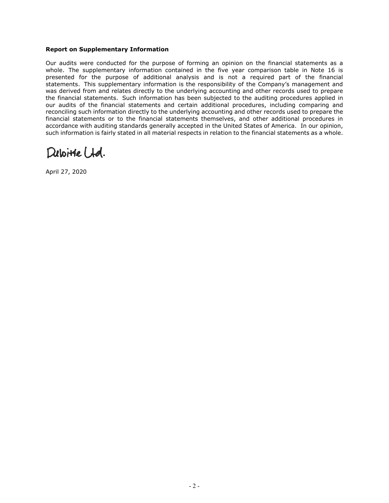#### **Report on Supplementary Information**

Our audits were conducted for the purpose of forming an opinion on the financial statements as a whole. The supplementary information contained in the five year comparison table in Note 16 is presented for the purpose of additional analysis and is not a required part of the financial statements. This supplementary information is the responsibility of the Company's management and was derived from and relates directly to the underlying accounting and other records used to prepare the financial statements. Such information has been subjected to the auditing procedures applied in our audits of the financial statements and certain additional procedures, including comparing and reconciling such information directly to the underlying accounting and other records used to prepare the financial statements or to the financial statements themselves, and other additional procedures in accordance with auditing standards generally accepted in the United States of America. In our opinion, such information is fairly stated in all material respects in relation to the financial statements as a whole.

Deloitte Ltd.

April 27, 2020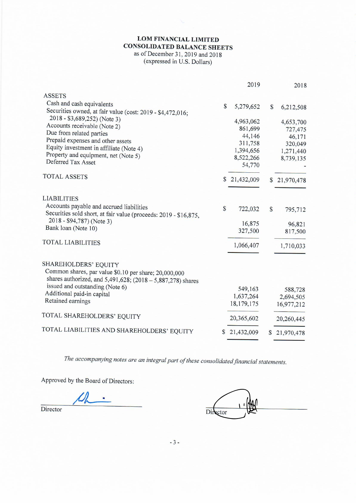# **LOM FINANCIAL LIMITED CONSOLIDATED BALANCE SHEETS** as of December 31, 2019 and 2018

(expressed in U.S. Dollars)

|                                                                  | 2019             |              | 2018       |
|------------------------------------------------------------------|------------------|--------------|------------|
| <b>ASSETS</b>                                                    |                  |              |            |
| Cash and cash equivalents                                        | \$               |              |            |
| Securities owned, at fair value (cost: 2019 - \$4,472,016;       | 5,279,652        | $\mathbb{S}$ | 6,212,508  |
| 2018 - \$3,689,252) (Note 3)                                     | 4,963,062        |              |            |
| Accounts receivable (Note 2)                                     | 861,699          |              | 4,653,700  |
| Due from related parties                                         | 44,146           |              | 727,475    |
| Prepaid expenses and other assets                                | 311,758          |              | 46,171     |
| Equity investment in affiliate (Note 4)                          |                  |              | 320,049    |
| Property and equipment, net (Note 5)                             | 1,394,656        |              | 1,271,440  |
| Deferred Tax Asset                                               | 8,522,266        |              | 8,739,135  |
|                                                                  | 54,770           |              |            |
| <b>TOTAL ASSETS</b>                                              | \$21,432,009     | S            | 21,970,478 |
| <b>LIABILITIES</b>                                               |                  |              |            |
| Accounts payable and accrued liabilities                         | \$<br>722,032    | S            |            |
| Securities sold short, at fair value (proceeds: 2019 - \$16,875, |                  |              | 795,712    |
| 2018 - \$94,787) (Note 3)                                        | 16,875           |              |            |
| Bank loan (Note 10)                                              | 327,500          |              | 96,821     |
|                                                                  |                  |              | 817,500    |
| <b>TOTAL LIABILITIES</b>                                         | 1,066,407        |              | 1,710,033  |
|                                                                  |                  |              |            |
| <b>SHAREHOLDERS' EQUITY</b>                                      |                  |              |            |
| Common shares, par value \$0.10 per share; 20,000,000            |                  |              |            |
| shares authorized, and 5,491,628; (2018 - 5,887,278) shares      |                  |              |            |
| issued and outstanding (Note 6)                                  |                  |              |            |
| Additional paid-in capital                                       | 549,163          |              | 588,728    |
| Retained earnings                                                | 1,637,264        |              | 2,694,505  |
|                                                                  | 18,179,175       |              | 16,977,212 |
| TOTAL SHAREHOLDERS' EQUITY                                       | 20,365,602       |              | 20,260,445 |
| TOTAL LIABILITIES AND SHAREHOLDERS' EQUITY                       | \$<br>21,432,009 | \$           | 21,970,478 |

The accompanying notes are an integral part of these consolidated financial statements.

Approved by the Board of Directors:

Director

Director

 $-3-$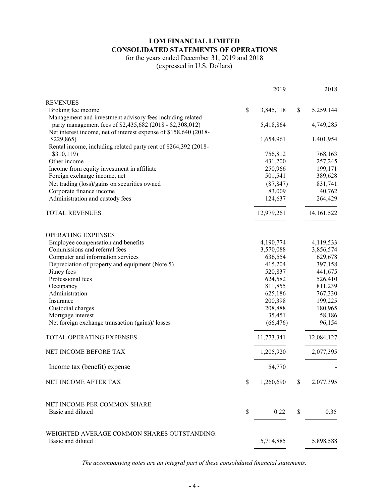# **LOM FINANCIAL LIMITED CONSOLIDATED STATEMENTS OF OPERATIONS**

for the years ended December 31, 2019 and 2018

(expressed in U.S. Dollars)

|                                                                                      | 2019                 | 2018                 |
|--------------------------------------------------------------------------------------|----------------------|----------------------|
| <b>REVENUES</b>                                                                      |                      |                      |
| \$<br>Broking fee income                                                             | 3,845,118            | \$<br>5,259,144      |
| Management and investment advisory fees including related                            |                      |                      |
| party management fees of \$2,435,682 (2018 - \$2,308,012)                            | 5,418,864            | 4,749,285            |
| Net interest income, net of interest expense of \$158,640 (2018-                     |                      |                      |
| \$229,865                                                                            | 1,654,961            | 1,401,954            |
| Rental income, including related party rent of \$264,392 (2018-                      |                      |                      |
| \$310,119)                                                                           | 756,812              | 768,163              |
| Other income                                                                         | 431,200              | 257,245              |
| Income from equity investment in affiliate                                           | 250,966              | 199,171              |
| Foreign exchange income, net                                                         | 501,541              | 389,628              |
| Net trading (loss)/gains on securities owned                                         | (87, 847)            | 831,741              |
| Corporate finance income                                                             | 83,009               | 40,762               |
| Administration and custody fees                                                      | 124,637              | 264,429              |
| <b>TOTAL REVENUES</b>                                                                | 12,979,261           | 14, 161, 522         |
|                                                                                      |                      |                      |
| <b>OPERATING EXPENSES</b>                                                            |                      |                      |
| Employee compensation and benefits<br>Commissions and referral fees                  | 4,190,774            | 4,119,533            |
|                                                                                      | 3,570,088<br>636,554 | 3,856,574<br>629,678 |
| Computer and information services<br>Depreciation of property and equipment (Note 5) | 415,204              | 397,158              |
| Jitney fees                                                                          | 520,837              | 441,675              |
| Professional fees                                                                    | 624,582              | 526,410              |
| Occupancy                                                                            | 811,855              | 811,239              |
| Administration                                                                       | 625,186              | 767,330              |
| Insurance                                                                            | 200,398              | 199,225              |
| Custodial charges                                                                    | 208,888              | 180,965              |
| Mortgage interest                                                                    | 35,451               | 58,186               |
| Net foreign exchange transaction (gains)/losses                                      | (66, 476)            | 96,154               |
| TOTAL OPERATING EXPENSES                                                             | 11,773,341           | 12,084,127           |
| NET INCOME BEFORE TAX                                                                | 1,205,920            | 2,077,395            |
| Income tax (benefit) expense                                                         | 54,770               |                      |
| \$<br>NET INCOME AFTER TAX                                                           | 1,260,690            | \$<br>2,077,395      |
|                                                                                      |                      |                      |
| NET INCOME PER COMMON SHARE                                                          |                      |                      |
| Basic and diluted<br>\$                                                              | 0.22                 | \$<br>0.35           |
| WEIGHTED AVERAGE COMMON SHARES OUTSTANDING:                                          |                      |                      |
| Basic and diluted                                                                    | 5,714,885            | 5,898,588            |

*The accompanying notes are an integral part of these consolidated financial statements.*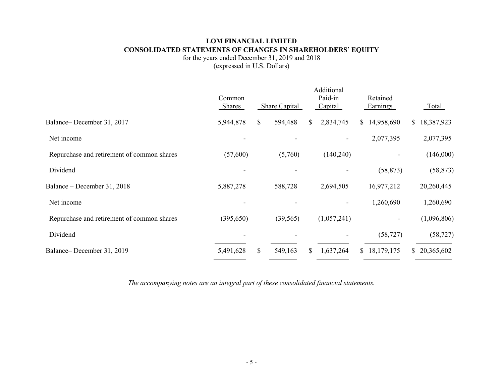# **LOM FINANCIAL LIMITED CONSOLIDATED STATEMENTS OF CHANGES IN SHAREHOLDERS' EQUITY**

for the years ended December 31, 2019 and 2018 (expressed in U.S. Dollars)

|                                            | Common<br>Shares | <b>Share Capital</b> | Additional<br>Paid-in<br>Capital | Retained<br><b>Earnings</b>  |    | <b>Total</b> |
|--------------------------------------------|------------------|----------------------|----------------------------------|------------------------------|----|--------------|
| Balance-December 31, 2017                  | 5,944,878        | \$<br>594,488        | \$<br>2,834,745                  | \$14,958,690                 | S. | 18,387,923   |
| Net income                                 |                  |                      |                                  | 2,077,395                    |    | 2,077,395    |
| Repurchase and retirement of common shares | (57,600)         | (5,760)              | (140,240)                        |                              |    | (146,000)    |
| Dividend                                   |                  |                      |                                  | (58, 873)                    |    | (58, 873)    |
| Balance – December 31, 2018                | 5,887,278        | 588,728              | 2,694,505                        | 16,977,212                   |    | 20,260,445   |
| Net income                                 |                  |                      |                                  | 1,260,690                    |    | 1,260,690    |
| Repurchase and retirement of common shares | (395, 650)       | (39, 565)            | (1,057,241)                      |                              |    | (1,096,806)  |
| Dividend                                   |                  |                      |                                  | (58, 727)                    |    | (58, 727)    |
| Balance-December 31, 2019                  | 5,491,628        | \$<br>549,163        | \$<br>1,637,264                  | $\mathbb{S}^-$<br>18,179,175 | S. | 20,365,602   |
|                                            |                  |                      |                                  |                              |    |              |

*The accompanying notes are an integral part of these consolidated financial statements.*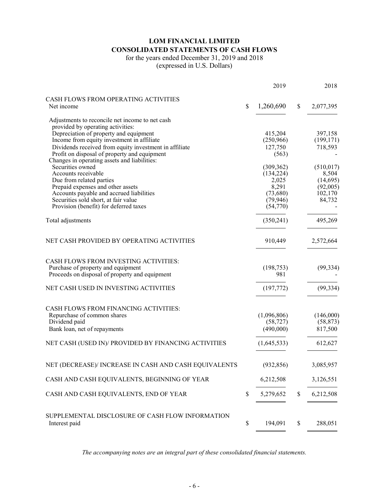# **LOM FINANCIAL LIMITED CONSOLIDATED STATEMENTS OF CASH FLOWS**

for the years ended December 31, 2019 and 2018

(expressed in U.S. Dollars)

|                                                        |      | 2019        |      | 2018       |
|--------------------------------------------------------|------|-------------|------|------------|
| CASH FLOWS FROM OPERATING ACTIVITIES                   |      |             |      |            |
| Net income                                             | \$   | 1,260,690   | \$   | 2,077,395  |
| Adjustments to reconcile net income to net cash        |      |             |      |            |
| provided by operating activities:                      |      |             |      |            |
| Depreciation of property and equipment                 |      | 415,204     |      | 397,158    |
| Income from equity investment in affiliate             |      | (250,966)   |      | (199, 171) |
| Dividends received from equity investment in affiliate |      | 127,750     |      | 718,593    |
| Profit on disposal of property and equipment           |      | (563)       |      |            |
| Changes in operating assets and liabilities:           |      |             |      |            |
| Securities owned                                       |      | (309, 362)  |      | (510, 017) |
| Accounts receivable                                    |      | (134, 224)  |      | 8,504      |
| Due from related parties                               |      | 2,025       |      | (14,695)   |
| Prepaid expenses and other assets                      |      | 8,291       |      | (92,005)   |
| Accounts payable and accrued liabilities               |      | (73,680)    |      | 102, 170   |
| Securities sold short, at fair value                   |      | (79, 946)   |      | 84,732     |
| Provision (benefit) for deferred taxes                 |      | (54,770)    |      |            |
|                                                        |      |             |      |            |
| Total adjustments                                      |      | (350,241)   |      | 495,269    |
| NET CASH PROVIDED BY OPERATING ACTIVITIES              |      | 910,449     |      | 2,572,664  |
| CASH FLOWS FROM INVESTING ACTIVITIES:                  |      |             |      |            |
| Purchase of property and equipment                     |      | (198, 753)  |      | (99, 334)  |
| Proceeds on disposal of property and equipment         |      | 981         |      |            |
|                                                        |      |             |      |            |
| NET CASH USED IN INVESTING ACTIVITIES                  |      | (197,772)   |      | (99, 334)  |
| CASH FLOWS FROM FINANCING ACTIVITIES:                  |      |             |      |            |
| Repurchase of common shares                            |      | (1,096,806) |      | (146,000)  |
| Dividend paid                                          |      | (58, 727)   |      | (58, 873)  |
|                                                        |      |             |      |            |
| Bank loan, net of repayments                           |      | (490,000)   |      | 817,500    |
| NET CASH (USED IN)/ PROVIDED BY FINANCING ACTIVITIES   |      | (1,645,533) |      | 612,627    |
| NET (DECREASE)/ INCREASE IN CASH AND CASH EQUIVALENTS  |      | (932, 856)  |      | 3,085,957  |
|                                                        |      |             |      |            |
| CASH AND CASH EQUIVALENTS, BEGINNING OF YEAR           |      | 6,212,508   |      | 3,126,551  |
| CASH AND CASH EQUIVALENTS, END OF YEAR                 | \$   | 5,279,652   | $\$$ | 6,212,508  |
|                                                        |      |             |      |            |
| SUPPLEMENTAL DISCLOSURE OF CASH FLOW INFORMATION       |      |             |      |            |
| Interest paid                                          | $\$$ | 194,091     | \$   | 288,051    |

*The accompanying notes are an integral part of these consolidated financial statements.*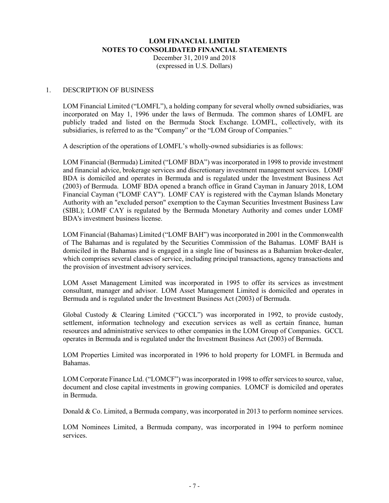(expressed in U.S. Dollars)

#### 1. DESCRIPTION OF BUSINESS

LOM Financial Limited ("LOMFL"), a holding company for several wholly owned subsidiaries, was incorporated on May 1, 1996 under the laws of Bermuda. The common shares of LOMFL are publicly traded and listed on the Bermuda Stock Exchange. LOMFL, collectively, with its subsidiaries, is referred to as the "Company" or the "LOM Group of Companies."

A description of the operations of LOMFL's wholly-owned subsidiaries is as follows:

LOM Financial (Bermuda) Limited ("LOMF BDA") was incorporated in 1998 to provide investment and financial advice, brokerage services and discretionary investment management services. LOMF BDA is domiciled and operates in Bermuda and is regulated under the Investment Business Act (2003) of Bermuda. LOMF BDA opened a branch office in Grand Cayman in January 2018, LOM Financial Cayman ("LOMF CAY"). LOMF CAY is registered with the Cayman Islands Monetary Authority with an "excluded person" exemption to the Cayman Securities Investment Business Law (SIBL); LOMF CAY is regulated by the Bermuda Monetary Authority and comes under LOMF BDA's investment business license.

LOM Financial (Bahamas) Limited ("LOMF BAH") was incorporated in 2001 in the Commonwealth of The Bahamas and is regulated by the Securities Commission of the Bahamas. LOMF BAH is domiciled in the Bahamas and is engaged in a single line of business as a Bahamian broker-dealer, which comprises several classes of service, including principal transactions, agency transactions and the provision of investment advisory services.

LOM Asset Management Limited was incorporated in 1995 to offer its services as investment consultant, manager and advisor. LOM Asset Management Limited is domiciled and operates in Bermuda and is regulated under the Investment Business Act (2003) of Bermuda.

Global Custody & Clearing Limited ("GCCL") was incorporated in 1992, to provide custody, settlement, information technology and execution services as well as certain finance, human resources and administrative services to other companies in the LOM Group of Companies. GCCL operates in Bermuda and is regulated under the Investment Business Act (2003) of Bermuda.

LOM Properties Limited was incorporated in 1996 to hold property for LOMFL in Bermuda and Bahamas.

LOM Corporate Finance Ltd. ("LOMCF") was incorporated in 1998 to offer services to source, value, document and close capital investments in growing companies. LOMCF is domiciled and operates in Bermuda.

Donald & Co. Limited, a Bermuda company, was incorporated in 2013 to perform nominee services.

LOM Nominees Limited, a Bermuda company, was incorporated in 1994 to perform nominee services.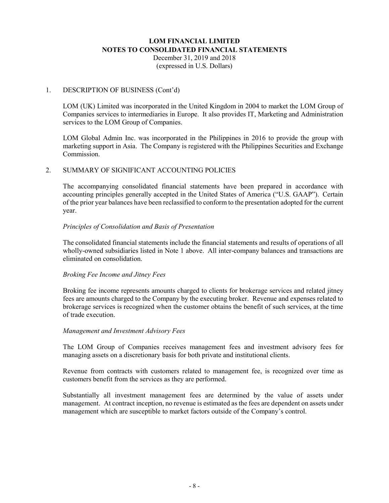December 31, 2019 and 2018 (expressed in U.S. Dollars)

#### 1. DESCRIPTION OF BUSINESS (Cont'd)

LOM (UK) Limited was incorporated in the United Kingdom in 2004 to market the LOM Group of Companies services to intermediaries in Europe. It also provides IT, Marketing and Administration services to the LOM Group of Companies.

LOM Global Admin Inc. was incorporated in the Philippines in 2016 to provide the group with marketing support in Asia. The Company is registered with the Philippines Securities and Exchange Commission.

#### 2. SUMMARY OF SIGNIFICANT ACCOUNTING POLICIES

The accompanying consolidated financial statements have been prepared in accordance with accounting principles generally accepted in the United States of America ("U.S. GAAP"). Certain of the prior year balances have been reclassified to conform to the presentation adopted for the current year.

#### *Principles of Consolidation and Basis of Presentation*

The consolidated financial statements include the financial statements and results of operations of all wholly-owned subsidiaries listed in Note 1 above. All inter-company balances and transactions are eliminated on consolidation.

#### *Broking Fee Income and Jitney Fees*

Broking fee income represents amounts charged to clients for brokerage services and related jitney fees are amounts charged to the Company by the executing broker. Revenue and expenses related to brokerage services is recognized when the customer obtains the benefit of such services, at the time of trade execution.

#### *Management and Investment Advisory Fees*

The LOM Group of Companies receives management fees and investment advisory fees for managing assets on a discretionary basis for both private and institutional clients.

Revenue from contracts with customers related to management fee, is recognized over time as customers benefit from the services as they are performed.

Substantially all investment management fees are determined by the value of assets under management. At contract inception, no revenue is estimated as the fees are dependent on assets under management which are susceptible to market factors outside of the Company's control.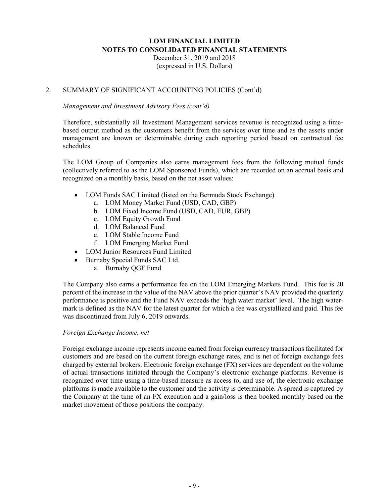December 31, 2019 and 2018 (expressed in U.S. Dollars)

#### 2. SUMMARY OF SIGNIFICANT ACCOUNTING POLICIES (Cont'd)

*Management and Investment Advisory Fees (cont'd)*

Therefore, substantially all Investment Management services revenue is recognized using a timebased output method as the customers benefit from the services over time and as the assets under management are known or determinable during each reporting period based on contractual fee schedules.

The LOM Group of Companies also earns management fees from the following mutual funds (collectively referred to as the LOM Sponsored Funds), which are recorded on an accrual basis and recognized on a monthly basis, based on the net asset values:

- LOM Funds SAC Limited (listed on the Bermuda Stock Exchange)
	- a. LOM Money Market Fund (USD, CAD, GBP)
	- b. LOM Fixed Income Fund (USD, CAD, EUR, GBP)
	- c. LOM Equity Growth Fund
	- d. LOM Balanced Fund
	- e. LOM Stable Income Fund
	- f. LOM Emerging Market Fund
- LOM Junior Resources Fund Limited
	- Burnaby Special Funds SAC Ltd.
		- a. Burnaby QGF Fund

The Company also earns a performance fee on the LOM Emerging Markets Fund. This fee is 20 percent of the increase in the value of the NAV above the prior quarter's NAV provided the quarterly performance is positive and the Fund NAV exceeds the 'high water market' level. The high watermark is defined as the NAV for the latest quarter for which a fee was crystallized and paid. This fee was discontinued from July 6, 2019 onwards.

#### *Foreign Exchange Income, net*

Foreign exchange income represents income earned from foreign currency transactions facilitated for customers and are based on the current foreign exchange rates, and is net of foreign exchange fees charged by external brokers. Electronic foreign exchange (FX) services are dependent on the volume of actual transactions initiated through the Company's electronic exchange platforms. Revenue is recognized over time using a time-based measure as access to, and use of, the electronic exchange platforms is made available to the customer and the activity is determinable. A spread is captured by the Company at the time of an FX execution and a gain/loss is then booked monthly based on the market movement of those positions the company.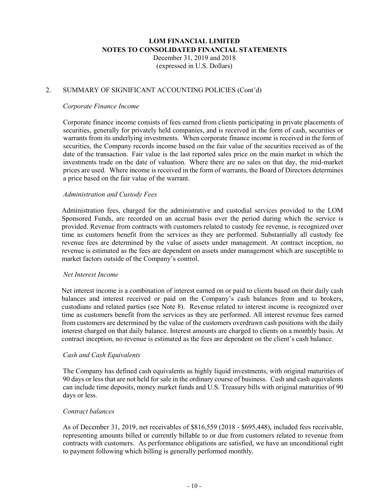(expressed in U.S. Dollars)

#### 2. SUMMARY OF SIGNIFICANT ACCOUNTING POLICIES (Cont'd)

#### *Corporate Finance Income*

Corporate finance income consists of fees earned from clients participating in private placements of securities, generally for privately held companies, and is received in the form of cash, securities or warrants from its underlying investments. When corporate finance income is received in the form of securities, the Company records income based on the fair value of the securities received as of the date of the transaction. Fair value is the last reported sales price on the main market in which the investments trade on the date of valuation. Where there are no sales on that day, the mid-market prices are used. Where income is received in the form of warrants, the Board of Directors determines a price based on the fair value of the warrant.

#### *Administration and Custody Fees*

Administration fees, charged for the administrative and custodial services provided to the LOM Sponsored Funds, are recorded on an accrual basis over the period during which the service is provided. Revenue from contracts with customers related to custody fee revenue, is recognized over time as customers benefit from the services as they are performed. Substantially all custody fee revenue fees are determined by the value of assets under management. At contract inception, no revenue is estimated as the fees are dependent on assets under management which are susceptible to market factors outside of the Company's control.

#### *Net Interest Income*

Net interest income is a combination of interest earned on or paid to clients based on their daily cash balances and interest received or paid on the Company's cash balances from and to brokers, custodians and related parties (see Note 8). Revenue related to interest income is recognized over time as customers benefit from the services as they are performed. All interest revenue fees earned from customers are determined by the value of the customers overdrawn cash positions with the daily interest charged on that daily balance. Interest amounts are charged to clients on a monthly basis. At contract inception, no revenue is estimated as the fees are dependent on the client's cash balance.

#### *Cash and Cash Equivalents*

The Company has defined cash equivalents as highly liquid investments, with original maturities of 90 days or less that are not held for sale in the ordinary course of business. Cash and cash equivalents can include time deposits, money market funds and U.S. Treasury bills with original maturities of 90 days or less.

#### *Contract balances*

As of December 31, 2019, net receivables of \$816,559 (2018 - \$695,448), included fees receivable, representing amounts billed or currently billable to or due from customers related to revenue from contracts with customers. As performance obligations are satisfied, we have an unconditional right to payment following which billing is generally performed monthly.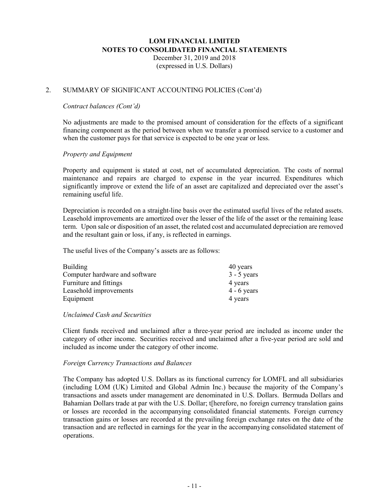(expressed in U.S. Dollars)

#### 2. SUMMARY OF SIGNIFICANT ACCOUNTING POLICIES (Cont'd)

#### *Contract balances (Cont'd)*

No adjustments are made to the promised amount of consideration for the effects of a significant financing component as the period between when we transfer a promised service to a customer and when the customer pays for that service is expected to be one year or less.

#### *Property and Equipment*

Property and equipment is stated at cost, net of accumulated depreciation. The costs of normal maintenance and repairs are charged to expense in the year incurred. Expenditures which significantly improve or extend the life of an asset are capitalized and depreciated over the asset's remaining useful life.

Depreciation is recorded on a straight-line basis over the estimated useful lives of the related assets. Leasehold improvements are amortized over the lesser of the life of the asset or the remaining lease term. Upon sale or disposition of an asset, the related cost and accumulated depreciation are removed and the resultant gain or loss, if any, is reflected in earnings.

The useful lives of the Company's assets are as follows:

| Building                       | 40 years      |
|--------------------------------|---------------|
| Computer hardware and software | $3 - 5$ years |
| Furniture and fittings         | 4 years       |
| Leasehold improvements         | $4 - 6$ years |
| Equipment                      | 4 years       |

#### *Unclaimed Cash and Securities*

Client funds received and unclaimed after a three-year period are included as income under the category of other income. Securities received and unclaimed after a five-year period are sold and included as income under the category of other income.

#### *Foreign Currency Transactions and Balances*

The Company has adopted U.S. Dollars as its functional currency for LOMFL and all subsidiaries (including LOM (UK) Limited and Global Admin Inc.) because the majority of the Company's transactions and assets under management are denominated in U.S. Dollars. Bermuda Dollars and Bahamian Dollars trade at par with the U.S. Dollar; t[herefore, no foreign currency translation gains or losses are recorded in the accompanying consolidated financial statements. Foreign currency transaction gains or losses are recorded at the prevailing foreign exchange rates on the date of the transaction and are reflected in earnings for the year in the accompanying consolidated statement of operations.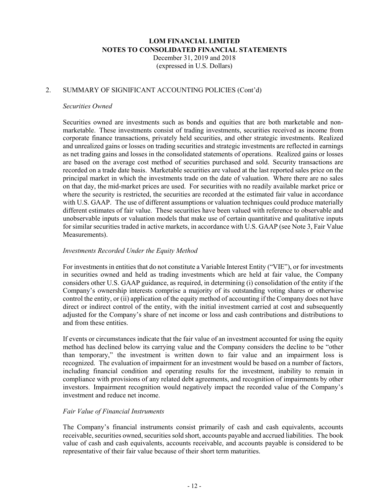December 31, 2019 and 2018 (expressed in U.S. Dollars)

#### 2. SUMMARY OF SIGNIFICANT ACCOUNTING POLICIES (Cont'd)

#### *Securities Owned*

Securities owned are investments such as bonds and equities that are both marketable and nonmarketable. These investments consist of trading investments, securities received as income from corporate finance transactions, privately held securities, and other strategic investments. Realized and unrealized gains or losses on trading securities and strategic investments are reflected in earnings as net trading gains and losses in the consolidated statements of operations. Realized gains or losses are based on the average cost method of securities purchased and sold. Security transactions are recorded on a trade date basis. Marketable securities are valued at the last reported sales price on the principal market in which the investments trade on the date of valuation. Where there are no sales on that day, the mid-market prices are used. For securities with no readily available market price or where the security is restricted, the securities are recorded at the estimated fair value in accordance with U.S. GAAP. The use of different assumptions or valuation techniques could produce materially different estimates of fair value. These securities have been valued with reference to observable and unobservable inputs or valuation models that make use of certain quantitative and qualitative inputs for similar securities traded in active markets, in accordance with U.S. GAAP (see Note 3, Fair Value Measurements).

#### *Investments Recorded Under the Equity Method*

For investments in entities that do not constitute a Variable Interest Entity ("VIE"), or for investments in securities owned and held as trading investments which are held at fair value, the Company considers other U.S. GAAP guidance, as required, in determining (i) consolidation of the entity if the Company's ownership interests comprise a majority of its outstanding voting shares or otherwise control the entity, or (ii) application of the equity method of accounting if the Company does not have direct or indirect control of the entity, with the initial investment carried at cost and subsequently adjusted for the Company's share of net income or loss and cash contributions and distributions to and from these entities.

If events or circumstances indicate that the fair value of an investment accounted for using the equity method has declined below its carrying value and the Company considers the decline to be "other than temporary," the investment is written down to fair value and an impairment loss is recognized. The evaluation of impairment for an investment would be based on a number of factors, including financial condition and operating results for the investment, inability to remain in compliance with provisions of any related debt agreements, and recognition of impairments by other investors. Impairment recognition would negatively impact the recorded value of the Company's investment and reduce net income.

#### *Fair Value of Financial Instruments*

The Company's financial instruments consist primarily of cash and cash equivalents, accounts receivable, securities owned, securities sold short, accounts payable and accrued liabilities. The book value of cash and cash equivalents, accounts receivable, and accounts payable is considered to be representative of their fair value because of their short term maturities.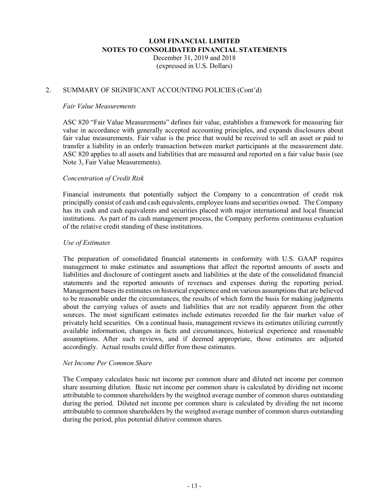(expressed in U.S. Dollars)

#### 2. SUMMARY OF SIGNIFICANT ACCOUNTING POLICIES (Cont'd)

#### *Fair Value Measurements*

ASC 820 "Fair Value Measurements" defines fair value, establishes a framework for measuring fair value in accordance with generally accepted accounting principles, and expands disclosures about fair value measurements. Fair value is the price that would be received to sell an asset or paid to transfer a liability in an orderly transaction between market participants at the measurement date. ASC 820 applies to all assets and liabilities that are measured and reported on a fair value basis (see Note 3, Fair Value Measurements).

#### *Concentration of Credit Risk*

Financial instruments that potentially subject the Company to a concentration of credit risk principally consist of cash and cash equivalents, employee loans and securities owned. The Company has its cash and cash equivalents and securities placed with major international and local financial institutions. As part of its cash management process, the Company performs continuous evaluation of the relative credit standing of these institutions.

#### *Use of Estimates*

The preparation of consolidated financial statements in conformity with U.S. GAAP requires management to make estimates and assumptions that affect the reported amounts of assets and liabilities and disclosure of contingent assets and liabilities at the date of the consolidated financial statements and the reported amounts of revenues and expenses during the reporting period. Management bases its estimates on historical experience and on various assumptions that are believed to be reasonable under the circumstances, the results of which form the basis for making judgments about the carrying values of assets and liabilities that are not readily apparent from the other sources. The most significant estimates include estimates recorded for the fair market value of privately held securities. On a continual basis, management reviews its estimates utilizing currently available information, changes in facts and circumstances, historical experience and reasonable assumptions. After such reviews, and if deemed appropriate, those estimates are adjusted accordingly. Actual results could differ from those estimates.

#### *Net Income Per Common Share*

The Company calculates basic net income per common share and diluted net income per common share assuming dilution. Basic net income per common share is calculated by dividing net income attributable to common shareholders by the weighted average number of common shares outstanding during the period. Diluted net income per common share is calculated by dividing the net income attributable to common shareholders by the weighted average number of common shares outstanding during the period, plus potential dilutive common shares.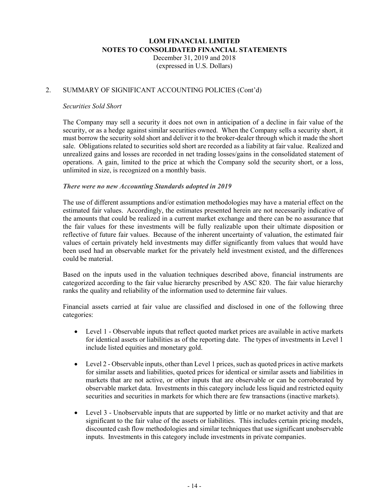(expressed in U.S. Dollars)

#### 2. SUMMARY OF SIGNIFICANT ACCOUNTING POLICIES (Cont'd)

#### *Securities Sold Short*

The Company may sell a security it does not own in anticipation of a decline in fair value of the security, or as a hedge against similar securities owned. When the Company sells a security short, it must borrow the security sold short and deliver it to the broker-dealer through which it made the short sale. Obligations related to securities sold short are recorded as a liability at fair value. Realized and unrealized gains and losses are recorded in net trading losses/gains in the consolidated statement of operations. A gain, limited to the price at which the Company sold the security short, or a loss, unlimited in size, is recognized on a monthly basis.

#### *There were no new Accounting Standards adopted in 2019*

The use of different assumptions and/or estimation methodologies may have a material effect on the estimated fair values. Accordingly, the estimates presented herein are not necessarily indicative of the amounts that could be realized in a current market exchange and there can be no assurance that the fair values for these investments will be fully realizable upon their ultimate disposition or reflective of future fair values. Because of the inherent uncertainty of valuation, the estimated fair values of certain privately held investments may differ significantly from values that would have been used had an observable market for the privately held investment existed, and the differences could be material.

Based on the inputs used in the valuation techniques described above, financial instruments are categorized according to the fair value hierarchy prescribed by ASC 820. The fair value hierarchy ranks the quality and reliability of the information used to determine fair values.

Financial assets carried at fair value are classified and disclosed in one of the following three categories:

- Level 1 Observable inputs that reflect quoted market prices are available in active markets for identical assets or liabilities as of the reporting date. The types of investments in Level 1 include listed equities and monetary gold.
- Level 2 Observable inputs, other than Level 1 prices, such as quoted prices in active markets for similar assets and liabilities, quoted prices for identical or similar assets and liabilities in markets that are not active, or other inputs that are observable or can be corroborated by observable market data. Investments in this category include less liquid and restricted equity securities and securities in markets for which there are few transactions (inactive markets).
- Level 3 Unobservable inputs that are supported by little or no market activity and that are significant to the fair value of the assets or liabilities. This includes certain pricing models, discounted cash flow methodologies and similar techniques that use significant unobservable inputs. Investments in this category include investments in private companies.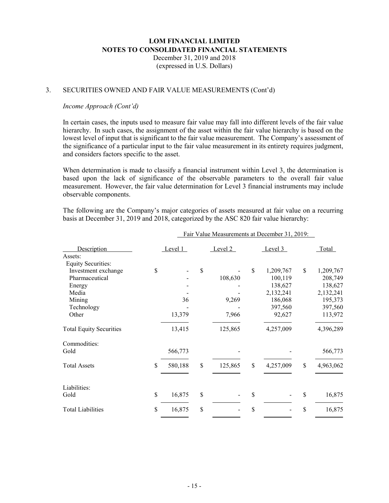(expressed in U.S. Dollars)

#### 3. SECURITIES OWNED AND FAIR VALUE MEASUREMENTS (Cont'd)

#### *Income Approach (Cont'd)*

In certain cases, the inputs used to measure fair value may fall into different levels of the fair value hierarchy. In such cases, the assignment of the asset within the fair value hierarchy is based on the lowest level of input that is significant to the fair value measurement. The Company's assessment of the significance of a particular input to the fair value measurement in its entirety requires judgment, and considers factors specific to the asset.

When determination is made to classify a financial instrument within Level 3, the determination is based upon the lack of significance of the observable parameters to the overall fair value measurement. However, the fair value determination for Level 3 financial instruments may include observable components.

The following are the Company's major categories of assets measured at fair value on a recurring basis at December 31, 2019 and 2018, categorized by the ASC 820 fair value hierarchy:

Fair Value Measurements at December 31, 2019:

| Description                    | Level 1       |              | Level 2 |              | Level 3   | Total           |
|--------------------------------|---------------|--------------|---------|--------------|-----------|-----------------|
| Assets:                        |               |              |         |              |           |                 |
| <b>Equity Securities:</b>      |               |              |         |              |           |                 |
| Investment exchange            | \$            | \$           |         | $\mathbb{S}$ | 1,209,767 | \$<br>1,209,767 |
| Pharmaceutical                 |               |              | 108,630 |              | 100,119   | 208,749         |
| Energy                         |               |              |         |              | 138,627   | 138,627         |
| Media                          |               |              |         |              | 2,132,241 | 2,132,241       |
| Mining                         | 36            |              | 9,269   |              | 186,068   | 195,373         |
| Technology                     |               |              |         |              | 397,560   | 397,560         |
| Other                          | 13,379        |              | 7,966   |              | 92,627    | 113,972         |
| <b>Total Equity Securities</b> | 13,415        |              | 125,865 |              | 4,257,009 | 4,396,289       |
| Commodities:                   |               |              |         |              |           |                 |
| Gold                           | 566,773       |              |         |              |           | 566,773         |
| <b>Total Assets</b>            | \$<br>580,188 | $\mathbb{S}$ | 125,865 | $\mathbb{S}$ | 4,257,009 | \$<br>4,963,062 |
| Liabilities:                   |               |              |         |              |           |                 |
| Gold                           | \$<br>16,875  | \$           |         | \$           |           | \$<br>16,875    |
| <b>Total Liabilities</b>       | \$<br>16,875  | \$           |         | \$           |           | \$<br>16,875    |
|                                |               |              |         |              |           |                 |

- 15 -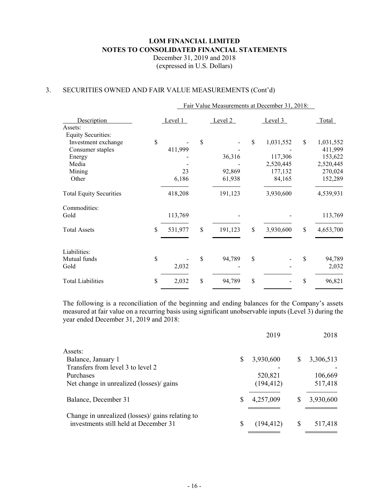December 31, 2019 and 2018 (expressed in U.S. Dollars)

#### 3. SECURITIES OWNED AND FAIR VALUE MEASUREMENTS (Cont'd)

| Fair Value Measurements at December 31, 2018: |                  |         |        |                     |    |           |  |
|-----------------------------------------------|------------------|---------|--------|---------------------|----|-----------|--|
| Level 1                                       |                  | Level 2 |        | Level 3             |    | Total     |  |
|                                               |                  |         |        |                     |    |           |  |
|                                               |                  |         |        |                     |    |           |  |
|                                               | \$               |         |        | 1,031,552           | \$ | 1,031,552 |  |
|                                               |                  |         |        |                     |    | 411,999   |  |
|                                               |                  | 36,316  |        | 117,306             |    | 153,622   |  |
|                                               |                  |         |        | 2,520,445           |    | 2,520,445 |  |
| 23                                            |                  | 92,869  |        | 177,132             |    | 270,024   |  |
| 6,186                                         |                  | 61,938  |        | 84,165              |    | 152,289   |  |
| 418,208                                       |                  | 191,123 |        | 3,930,600           |    | 4,539,931 |  |
|                                               |                  |         |        |                     |    |           |  |
| 113,769                                       |                  |         |        |                     |    | 113,769   |  |
| 531,977                                       | \$               | 191,123 | \$     | 3,930,600           | \$ | 4,653,700 |  |
|                                               |                  |         |        |                     |    |           |  |
|                                               |                  |         |        |                     |    |           |  |
|                                               |                  |         |        |                     |    | 94,789    |  |
|                                               |                  |         |        |                     |    | 2,032     |  |
| 2,032                                         | \$               | 94,789  | \$     |                     | \$ | 96,821    |  |
|                                               | 411,999<br>2,032 | \$      | 94,789 | \$<br>$\mathcal{S}$ |    | \$        |  |

The following is a reconciliation of the beginning and ending balances for the Company's assets measured at fair value on a recurring basis using significant unobservable inputs (Level 3) during the year ended December 31, 2019 and 2018:

|                                                                                           |    | 2019       |   | 2018      |
|-------------------------------------------------------------------------------------------|----|------------|---|-----------|
| Assets:                                                                                   |    |            |   |           |
| Balance, January 1                                                                        | \$ | 3,930,600  | S | 3,306,513 |
| Transfers from level 3 to level 2                                                         |    |            |   |           |
| Purchases                                                                                 |    | 520,821    |   | 106,669   |
| Net change in unrealized (losses)/ gains                                                  |    | (194, 412) |   | 517,418   |
| Balance, December 31                                                                      | S  | 4,257,009  | S | 3,930,600 |
| Change in unrealized (losses)/ gains relating to<br>investments still held at December 31 | S  | (194, 412) | S | 517,418   |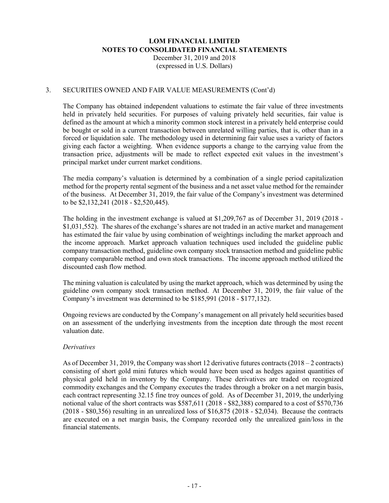(expressed in U.S. Dollars)

#### 3. SECURITIES OWNED AND FAIR VALUE MEASUREMENTS (Cont'd)

The Company has obtained independent valuations to estimate the fair value of three investments held in privately held securities. For purposes of valuing privately held securities, fair value is defined as the amount at which a minority common stock interest in a privately held enterprise could be bought or sold in a current transaction between unrelated willing parties, that is, other than in a forced or liquidation sale. The methodology used in determining fair value uses a variety of factors giving each factor a weighting. When evidence supports a change to the carrying value from the transaction price, adjustments will be made to reflect expected exit values in the investment's principal market under current market conditions.

The media company's valuation is determined by a combination of a single period capitalization method for the property rental segment of the business and a net asset value method for the remainder of the business. At December 31, 2019, the fair value of the Company's investment was determined to be \$2,132,241 (2018 - \$2,520,445).

The holding in the investment exchange is valued at \$1,209,767 as of December 31, 2019 (2018 - \$1,031,552). The shares of the exchange's shares are not traded in an active market and management has estimated the fair value by using combination of weightings including the market approach and the income approach. Market approach valuation techniques used included the guideline public company transaction method, guideline own company stock transaction method and guideline public company comparable method and own stock transactions. The income approach method utilized the discounted cash flow method.

The mining valuation is calculated by using the market approach, which was determined by using the guideline own company stock transaction method. At December 31, 2019, the fair value of the Company's investment was determined to be \$185,991 (2018 - \$177,132).

Ongoing reviews are conducted by the Company's management on all privately held securities based on an assessment of the underlying investments from the inception date through the most recent valuation date.

#### *Derivatives*

As of December 31, 2019, the Company was short 12 derivative futures contracts (2018 – 2 contracts) consisting of short gold mini futures which would have been used as hedges against quantities of physical gold held in inventory by the Company. These derivatives are traded on recognized commodity exchanges and the Company executes the trades through a broker on a net margin basis, each contract representing 32.15 fine troy ounces of gold. As of December 31, 2019, the underlying notional value of the short contracts was \$587,611 (2018 - \$82,388) compared to a cost of \$570,736 (2018 - \$80,356) resulting in an unrealized loss of \$16,875 (2018 - \$2,034). Because the contracts are executed on a net margin basis, the Company recorded only the unrealized gain/loss in the financial statements.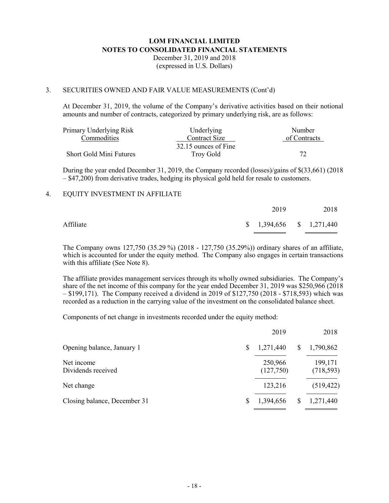(expressed in U.S. Dollars)

#### 3. SECURITIES OWNED AND FAIR VALUE MEASUREMENTS (Cont'd)

At December 31, 2019, the volume of the Company's derivative activities based on their notional amounts and number of contracts, categorized by primary underlying risk, are as follows:

| Primary Underlying Risk        | Underlying           | Number       |
|--------------------------------|----------------------|--------------|
| Commodities                    | Contract Size        | of Contracts |
|                                | 32.15 ounces of Fine |              |
| <b>Short Gold Mini Futures</b> | Troy Gold            | 72           |

During the year ended December 31, 2019, the Company recorded (losses)/gains of \$(33,661) (2018 – \$47,200) from derivative trades, hedging its physical gold held for resale to customers.

#### 4. EQUITY INVESTMENT IN AFFILIATE

|           | 2019                      | 2018 |
|-----------|---------------------------|------|
| Affiliate | $$1,394,656$ $$1,271,440$ |      |

The Company owns 127,750 (35.29 %) (2018 - 127,750 (35.29%)) ordinary shares of an affiliate, which is accounted for under the equity method. The Company also engages in certain transactions with this affiliate (See Note 8).

The affiliate provides management services through its wholly owned subsidiaries. The Company's share of the net income of this company for the year ended December 31, 2019 was \$250,966 (2018 – \$199,171). The Company received a dividend in 2019 of \$127,750 (2018 - \$718,593) which was recorded as a reduction in the carrying value of the investment on the consolidated balance sheet.

Components of net change in investments recorded under the equity method:

|                                  |   | 2019                 |   | 2018                  |
|----------------------------------|---|----------------------|---|-----------------------|
| Opening balance, January 1       | S | 1,271,440            | S | 1,790,862             |
| Net income<br>Dividends received |   | 250,966<br>(127,750) |   | 199,171<br>(718, 593) |
| Net change                       |   | 123,216              |   | (519, 422)            |
| Closing balance, December 31     | S | 1,394,656            |   | 1,271,440             |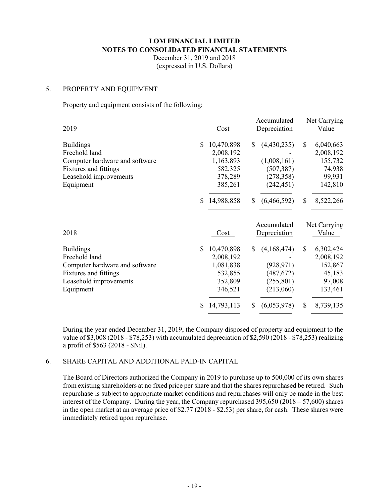December 31, 2019 and 2018

(expressed in U.S. Dollars)

#### 5. PROPERTY AND EQUIPMENT

Property and equipment consists of the following:

|     |            |               |             |                                                            | Net Carrying          |
|-----|------------|---------------|-------------|------------------------------------------------------------|-----------------------|
|     |            |               |             |                                                            | Value                 |
| \$. | 10,470,898 | \$            | (4,430,235) | \$                                                         | 6,040,663             |
|     | 2,008,192  |               |             |                                                            | 2,008,192             |
|     | 1,163,893  |               | (1,008,161) |                                                            | 155,732               |
|     | 582,325    |               | (507, 387)  |                                                            | 74,938                |
|     | 378,289    |               | (278, 358)  |                                                            | 99,931                |
|     | 385,261    |               | (242, 451)  |                                                            | 142,810               |
| \$. | 14,988,858 | <sup>\$</sup> | (6,466,592) | \$                                                         | 8,522,266             |
|     |            |               |             |                                                            | Net Carrying<br>Value |
|     |            |               |             |                                                            |                       |
| \$  | 10,470,898 | S             | (4,168,474) | \$                                                         | 6,302,424             |
|     | 2,008,192  |               |             |                                                            | 2,008,192             |
|     | 1,081,838  |               | (928, 971)  |                                                            | 152,867               |
|     | 532,855    |               | (487, 672)  |                                                            | 45,183                |
|     | 352,809    |               | (255, 801)  |                                                            | 97,008                |
|     | 346,521    |               | (213,060)   |                                                            | 133,461               |
|     |            |               |             |                                                            |                       |
|     |            | Cost<br>Cost  |             | Accumulated<br>Depreciation<br>Accumulated<br>Depreciation |                       |

During the year ended December 31, 2019, the Company disposed of property and equipment to the value of \$3,008 (2018 - \$78,253) with accumulated depreciation of \$2,590 (2018 - \$78,253) realizing a profit of \$563 (2018 - \$Nil).

#### 6. SHARE CAPITAL AND ADDITIONAL PAID-IN CAPITAL

The Board of Directors authorized the Company in 2019 to purchase up to 500,000 of its own shares from existing shareholders at no fixed price per share and that the shares repurchased be retired. Such repurchase is subject to appropriate market conditions and repurchases will only be made in the best interest of the Company. During the year, the Company repurchased 395,650 (2018 – 57,600) shares in the open market at an average price of \$2.77 (2018 - \$2.53) per share, for cash. These shares were immediately retired upon repurchase.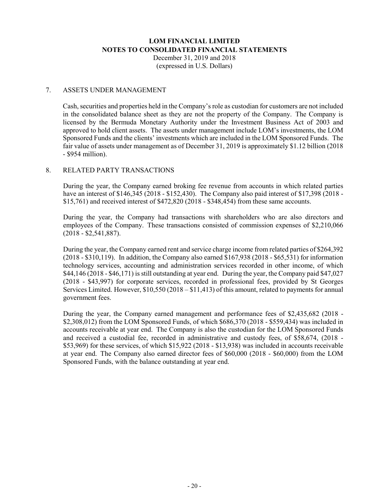December 31, 2019 and 2018 (expressed in U.S. Dollars)

#### 7. ASSETS UNDER MANAGEMENT

Cash, securities and properties held in the Company's role as custodian for customers are not included in the consolidated balance sheet as they are not the property of the Company. The Company is licensed by the Bermuda Monetary Authority under the Investment Business Act of 2003 and approved to hold client assets. The assets under management include LOM's investments, the LOM Sponsored Funds and the clients' investments which are included in the LOM Sponsored Funds. The fair value of assets under management as of December 31, 2019 is approximately \$1.12 billion (2018 - \$954 million).

#### 8. RELATED PARTY TRANSACTIONS

During the year, the Company earned broking fee revenue from accounts in which related parties have an interest of \$146,345 (2018 - \$152,430). The Company also paid interest of \$17,398 (2018 -\$15,761) and received interest of \$472,820 (2018 - \$348,454) from these same accounts.

During the year, the Company had transactions with shareholders who are also directors and employees of the Company. These transactions consisted of commission expenses of \$2,210,066 (2018 - \$2,541,887).

During the year, the Company earned rent and service charge income from related parties of \$264,392 (2018 - \$310,119). In addition, the Company also earned \$167,938 (2018 - \$65,531) for information technology services, accounting and administration services recorded in other income, of which \$44,146 (2018 - \$46,171) is still outstanding at year end. During the year, the Company paid \$47,027 (2018 - \$43,997) for corporate services, recorded in professional fees, provided by St Georges Services Limited. However, \$10,550 (2018 – \$11,413) of this amount, related to payments for annual government fees.

During the year, the Company earned management and performance fees of \$2,435,682 (2018 - \$2,308,012) from the LOM Sponsored Funds, of which \$686,370 (2018 - \$559,434) was included in accounts receivable at year end. The Company is also the custodian for the LOM Sponsored Funds and received a custodial fee, recorded in administrative and custody fees, of \$58,674, (2018 - \$53,969) for these services, of which \$15,922 (2018 - \$13,938) was included in accounts receivable at year end. The Company also earned director fees of \$60,000 (2018 - \$60,000) from the LOM Sponsored Funds, with the balance outstanding at year end.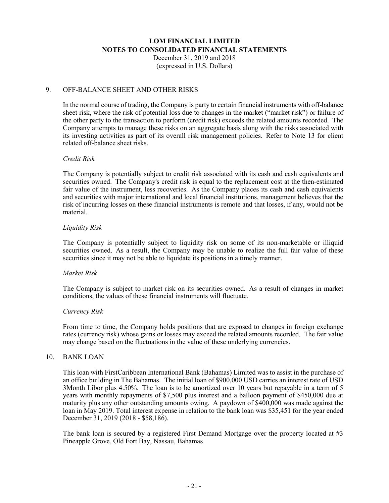December 31, 2019 and 2018 (expressed in U.S. Dollars)

#### 9. OFF-BALANCE SHEET AND OTHER RISKS

In the normal course of trading, the Company is party to certain financial instruments with off-balance sheet risk, where the risk of potential loss due to changes in the market ("market risk") or failure of the other party to the transaction to perform (credit risk) exceeds the related amounts recorded. The Company attempts to manage these risks on an aggregate basis along with the risks associated with its investing activities as part of its overall risk management policies. Refer to Note 13 for client related off-balance sheet risks.

#### *Credit Risk*

The Company is potentially subject to credit risk associated with its cash and cash equivalents and securities owned. The Company's credit risk is equal to the replacement cost at the then-estimated fair value of the instrument, less recoveries. As the Company places its cash and cash equivalents and securities with major international and local financial institutions, management believes that the risk of incurring losses on these financial instruments is remote and that losses, if any, would not be material.

#### *Liquidity Risk*

The Company is potentially subject to liquidity risk on some of its non-marketable or illiquid securities owned. As a result, the Company may be unable to realize the full fair value of these securities since it may not be able to liquidate its positions in a timely manner.

#### *Market Risk*

The Company is subject to market risk on its securities owned. As a result of changes in market conditions, the values of these financial instruments will fluctuate.

#### *Currency Risk*

From time to time, the Company holds positions that are exposed to changes in foreign exchange rates (currency risk) whose gains or losses may exceed the related amounts recorded. The fair value may change based on the fluctuations in the value of these underlying currencies.

#### 10. BANK LOAN

This loan with FirstCaribbean International Bank (Bahamas) Limited was to assist in the purchase of an office building in The Bahamas. The initial loan of \$900,000 USD carries an interest rate of USD 3Month Libor plus 4.50%. The loan is to be amortized over 10 years but repayable in a term of 5 years with monthly repayments of \$7,500 plus interest and a balloon payment of \$450,000 due at maturity plus any other outstanding amounts owing. A paydown of \$400,000 was made against the loan in May 2019. Total interest expense in relation to the bank loan was \$35,451 for the year ended December 31, 2019 (2018 - \$58,186).

The bank loan is secured by a registered First Demand Mortgage over the property located at #3 Pineapple Grove, Old Fort Bay, Nassau, Bahamas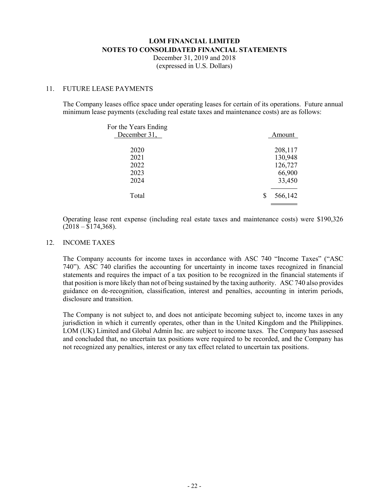(expressed in U.S. Dollars)

#### 11. FUTURE LEASE PAYMENTS

The Company leases office space under operating leases for certain of its operations. Future annual minimum lease payments (excluding real estate taxes and maintenance costs) are as follows:

| For the Years Ending |         |
|----------------------|---------|
| December 31,         | Amount  |
| 2020                 | 208,117 |
| 2021                 | 130,948 |
| 2022                 | 126,727 |
| 2023                 | 66,900  |
| 2024                 | 33,450  |
| Total                | 566,142 |

Operating lease rent expense (including real estate taxes and maintenance costs) were \$190,326  $(2018 - $174,368)$ .

#### 12. INCOME TAXES

The Company accounts for income taxes in accordance with ASC 740 "Income Taxes" ("ASC 740"). ASC 740 clarifies the accounting for uncertainty in income taxes recognized in financial statements and requires the impact of a tax position to be recognized in the financial statements if that position is more likely than not of being sustained by the taxing authority. ASC 740 also provides guidance on de-recognition, classification, interest and penalties, accounting in interim periods, disclosure and transition.

The Company is not subject to, and does not anticipate becoming subject to, income taxes in any jurisdiction in which it currently operates, other than in the United Kingdom and the Philippines. LOM (UK) Limited and Global Admin Inc. are subject to income taxes. The Company has assessed and concluded that, no uncertain tax positions were required to be recorded, and the Company has not recognized any penalties, interest or any tax effect related to uncertain tax positions.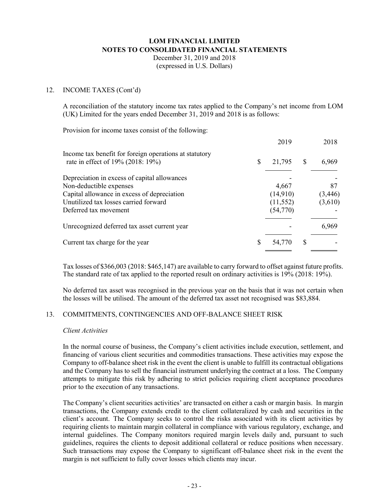December 31, 2019 and 2018 (expressed in U.S. Dollars)

#### 12. INCOME TAXES (Cont'd)

A reconciliation of the statutory income tax rates applied to the Company's net income from LOM (UK) Limited for the years ended December 31, 2019 and 2018 is as follows:

Provision for income taxes consist of the following:

|                                                                                             |     | 2019      |   | 2018    |
|---------------------------------------------------------------------------------------------|-----|-----------|---|---------|
| Income tax benefit for foreign operations at statutory<br>rate in effect of 19% (2018: 19%) | \$. | 21,795    | S | 6,969   |
| Depreciation in excess of capital allowances                                                |     |           |   |         |
| Non-deductible expenses                                                                     |     | 4,667     |   | 87      |
| Capital allowance in excess of depreciation                                                 |     | (14,910)  |   | (3,446) |
| Unutilized tax losses carried forward                                                       |     | (11, 552) |   | (3,610) |
| Deferred tax movement                                                                       |     | (54,770)  |   |         |
| Unrecognized deferred tax asset current year                                                |     |           |   | 6,969   |
| Current tax charge for the year                                                             |     | 54,770    | S |         |
|                                                                                             |     |           |   |         |

Tax losses of \$366,003 (2018: \$465,147) are available to carry forward to offset against future profits. The standard rate of tax applied to the reported result on ordinary activities is 19% (2018: 19%).

No deferred tax asset was recognised in the previous year on the basis that it was not certain when the losses will be utilised. The amount of the deferred tax asset not recognised was \$83,884.

#### 13. COMMITMENTS, CONTINGENCIES AND OFF-BALANCE SHEET RISK

#### *Client Activities*

In the normal course of business, the Company's client activities include execution, settlement, and financing of various client securities and commodities transactions. These activities may expose the Company to off-balance sheet risk in the event the client is unable to fulfill its contractual obligations and the Company has to sell the financial instrument underlying the contract at a loss. The Company attempts to mitigate this risk by adhering to strict policies requiring client acceptance procedures prior to the execution of any transactions.

The Company's client securities activities' are transacted on either a cash or margin basis. In margin transactions, the Company extends credit to the client collateralized by cash and securities in the client's account. The Company seeks to control the risks associated with its client activities by requiring clients to maintain margin collateral in compliance with various regulatory, exchange, and internal guidelines. The Company monitors required margin levels daily and, pursuant to such guidelines, requires the clients to deposit additional collateral or reduce positions when necessary. Such transactions may expose the Company to significant off-balance sheet risk in the event the margin is not sufficient to fully cover losses which clients may incur.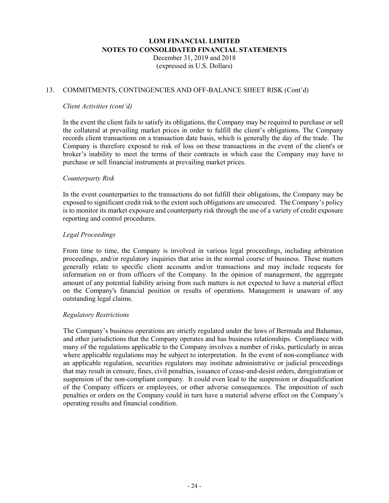(expressed in U.S. Dollars)

#### 13. COMMITMENTS, CONTINGENCIES AND OFF-BALANCE SHEET RISK (Cont'd)

#### *Client Activities (cont'd)*

In the event the client fails to satisfy its obligations, the Company may be required to purchase or sell the collateral at prevailing market prices in order to fulfill the client's obligations. The Company records client transactions on a transaction date basis, which is generally the day of the trade. The Company is therefore exposed to risk of loss on these transactions in the event of the client's or broker's inability to meet the terms of their contracts in which case the Company may have to purchase or sell financial instruments at prevailing market prices.

#### *Counterparty Risk*

In the event counterparties to the transactions do not fulfill their obligations, the Company may be exposed to significant credit risk to the extent such obligations are unsecured. The Company's policy is to monitor its market exposure and counterparty risk through the use of a variety of credit exposure reporting and control procedures.

#### *Legal Proceedings*

From time to time, the Company is involved in various legal proceedings, including arbitration proceedings, and/or regulatory inquiries that arise in the normal course of business. These matters generally relate to specific client accounts and/or transactions and may include requests for information on or from officers of the Company. In the opinion of management, the aggregate amount of any potential liability arising from such matters is not expected to have a material effect on the Company's financial position or results of operations. Management is unaware of any outstanding legal claims.

#### *Regulatory Restrictions*

The Company's business operations are strictly regulated under the laws of Bermuda and Bahamas, and other jurisdictions that the Company operates and has business relationships. Compliance with many of the regulations applicable to the Company involves a number of risks, particularly in areas where applicable regulations may be subject to interpretation. In the event of non-compliance with an applicable regulation, securities regulators may institute administrative or judicial proceedings that may result in censure, fines, civil penalties, issuance of cease-and-desist orders, deregistration or suspension of the non-compliant company. It could even lead to the suspension or disqualification of the Company officers or employees, or other adverse consequences. The imposition of such penalties or orders on the Company could in turn have a material adverse effect on the Company's operating results and financial condition.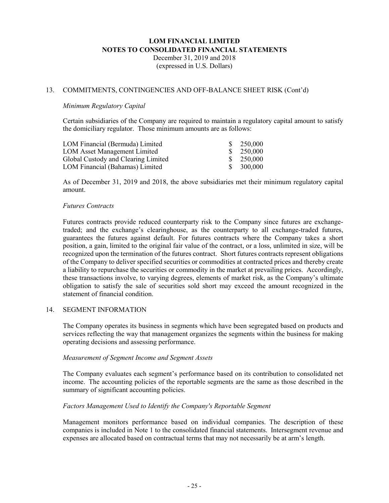(expressed in U.S. Dollars)

#### 13. COMMITMENTS, CONTINGENCIES AND OFF-BALANCE SHEET RISK (Cont'd)

#### *Minimum Regulatory Capital*

Certain subsidiaries of the Company are required to maintain a regulatory capital amount to satisfy the domiciliary regulator. Those minimum amounts are as follows:

| LOM Financial (Bermuda) Limited     | \$250,000 |
|-------------------------------------|-----------|
| <b>LOM Asset Management Limited</b> | \$250,000 |
| Global Custody and Clearing Limited | \$250,000 |
| LOM Financial (Bahamas) Limited     | \$300,000 |

As of December 31, 2019 and 2018, the above subsidiaries met their minimum regulatory capital amount.

#### *Futures Contracts*

Futures contracts provide reduced counterparty risk to the Company since futures are exchangetraded; and the exchange's clearinghouse, as the counterparty to all exchange-traded futures, guarantees the futures against default. For futures contracts where the Company takes a short position, a gain, limited to the original fair value of the contract, or a loss, unlimited in size, will be recognized upon the termination of the futures contract. Short futures contracts represent obligations of the Company to deliver specified securities or commodities at contracted prices and thereby create a liability to repurchase the securities or commodity in the market at prevailing prices. Accordingly, these transactions involve, to varying degrees, elements of market risk, as the Company's ultimate obligation to satisfy the sale of securities sold short may exceed the amount recognized in the statement of financial condition.

#### 14. SEGMENT INFORMATION

The Company operates its business in segments which have been segregated based on products and services reflecting the way that management organizes the segments within the business for making operating decisions and assessing performance.

#### *Measurement of Segment Income and Segment Assets*

The Company evaluates each segment's performance based on its contribution to consolidated net income. The accounting policies of the reportable segments are the same as those described in the summary of significant accounting policies.

#### *Factors Management Used to Identify the Company's Reportable Segment*

Management monitors performance based on individual companies. The description of these companies is included in Note 1 to the consolidated financial statements. Intersegment revenue and expenses are allocated based on contractual terms that may not necessarily be at arm's length.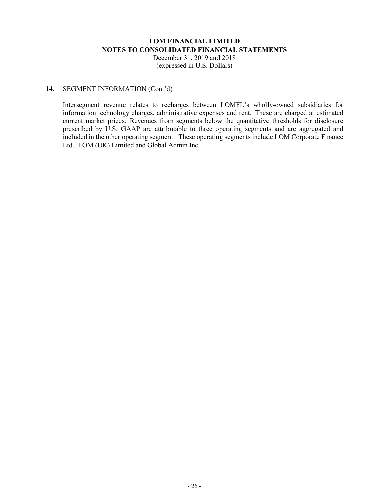December 31, 2019 and 2018 (expressed in U.S. Dollars)

#### 14. SEGMENT INFORMATION (Cont'd)

Intersegment revenue relates to recharges between LOMFL's wholly-owned subsidiaries for information technology charges, administrative expenses and rent. These are charged at estimated current market prices. Revenues from segments below the quantitative thresholds for disclosure prescribed by U.S. GAAP are attributable to three operating segments and are aggregated and included in the other operating segment. These operating segments include LOM Corporate Finance Ltd., LOM (UK) Limited and Global Admin Inc.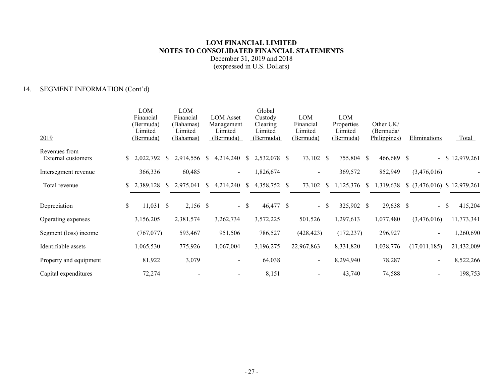## **LOM FINANCIAL LIMITED NOTES TO CONSOLIDATED FINANCIAL STATEMENTS** December 31, 2019 and 2018 (expressed in U.S. Dollars)

# 14. SEGMENT INFORMATION (Cont'd)

| 2019                                |    | LOM<br>Financial<br>(Bermuda)<br>Limited<br>(Bermuda) |              | LOM<br>Financial<br>(Bahamas)<br>Limited<br>(Bahamas) |    | LOM Asset<br>Management<br>Limited<br>(Bermuda) |              | Global<br>Custody<br>Clearing<br>Limited<br>(Bermuda) | LOM<br>Financial<br>Limited<br><u>(Bermuda)</u> |              | LOM<br><b>Properties</b><br>Limited<br>(Bermuda) |              | Other UK/<br>(Bermuda/<br>Philippines) | Eliminations                   | <b>Total</b>      |
|-------------------------------------|----|-------------------------------------------------------|--------------|-------------------------------------------------------|----|-------------------------------------------------|--------------|-------------------------------------------------------|-------------------------------------------------|--------------|--------------------------------------------------|--------------|----------------------------------------|--------------------------------|-------------------|
| Revenues from<br>External customers | S. | 2,022,792                                             | <sup>S</sup> | 2,914,556                                             | S. | 4,214,240                                       | <sup>S</sup> | 2,532,078 \$                                          | 73,102 \$                                       |              | 755,804 \$                                       |              | 466,689 \$                             |                                | $-$ \$ 12,979,261 |
| Intersegment revenue                |    | 366,336                                               |              | 60,485                                                |    |                                                 |              | 1,826,674                                             | $\overline{\phantom{a}}$                        |              | 369,572                                          |              | 852,949                                | (3,476,016)                    |                   |
| Total revenue                       |    | 2,389,128                                             | <sup>S</sup> | 2,975,041                                             | S. | 4,214,240                                       | <sup>S</sup> | 4,358,752 \$                                          | 73,102                                          | <sup>S</sup> | 1,125,376                                        | <sup>S</sup> | 1,319,638                              | $$$ (3,476,016) $$$ 12,979,261 |                   |
| Depreciation                        | \$ | $11,031$ \$                                           |              | $2,156$ \$                                            |    |                                                 | $-$ \$       | 46,477 \$                                             | $\sim$                                          | -\$          | 325,902 \$                                       |              | 29,638 \$                              | $-$ \$                         | 415,204           |
| Operating expenses                  |    | 3,156,205                                             |              | 2,381,574                                             |    | 3,262,734                                       |              | 3,572,225                                             | 501,526                                         |              | 1,297,613                                        |              | 1,077,480                              | (3,476,016)                    | 11,773,341        |
| Segment (loss) income               |    | (767, 077)                                            |              | 593,467                                               |    | 951,506                                         |              | 786,527                                               | (428, 423)                                      |              | (172, 237)                                       |              | 296,927                                |                                | 1,260,690         |
| Identifiable assets                 |    | 1,065,530                                             |              | 775,926                                               |    | 1,067,004                                       |              | 3,196,275                                             | 22,967,863                                      |              | 8,331,820                                        |              | 1,038,776                              | (17,011,185)                   | 21,432,009        |
| Property and equipment              |    | 81,922                                                |              | 3,079                                                 |    | $\sim$                                          |              | 64,038                                                | $\overline{\phantom{a}}$                        |              | 8,294,940                                        |              | 78,287                                 |                                | 8,522,266         |
| Capital expenditures                |    | 72,274                                                |              |                                                       |    |                                                 |              | 8,151                                                 | $\overline{\phantom{a}}$                        |              | 43,740                                           |              | 74,588                                 | $\overline{\phantom{0}}$       | 198,753           |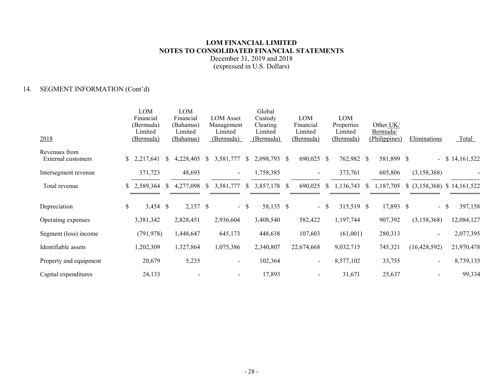## **LOM FINANCIAL LIMITED NOTES TO CONSOLIDATED FINANCIAL STATEMENTS** December 31, 2019 and 2018 (expressed in U.S. Dollars)

# 14. SEGMENT INFORMATION (Cont'd)

|                                     |    | LOM<br>Financial<br>(Bermuda)<br>Limited |              | LOM<br>Financial<br>(Bahamas)<br>Limited |              | LOM Asset<br>Management<br>Limited |              | Global<br>Custody<br>Clearing<br>Limited | LOM<br>Financial<br>Limited |               | LOM<br>Properties<br>Limited |              | Other UK/<br>Bermuda/ |                                |                   |
|-------------------------------------|----|------------------------------------------|--------------|------------------------------------------|--------------|------------------------------------|--------------|------------------------------------------|-----------------------------|---------------|------------------------------|--------------|-----------------------|--------------------------------|-------------------|
| 2018                                |    | (Bermuda)                                |              | (Bahamas)                                |              | (Bermuda)                          |              | (Bermuda)                                | (Bermuda)                   |               | (Bermuda)                    |              | (Philippines)         | Eliminations                   | Total             |
| Revenues from<br>External customers | S. | 2,217,641                                | <sup>S</sup> | 4,228,405                                | <sup>S</sup> | 3,581,777                          | <sup>S</sup> | 2,098,793 \$                             | 690,025 \$                  |               | 762,982 \$                   |              | 581,899 \$            |                                | $-$ \$ 14,161,522 |
| Intersegment revenue                |    | 371,723                                  |              | 48,693                                   |              | $\sim$                             |              | 1,758,385                                | $\blacksquare$              |               | 373,761                      |              | 605,806               | (3,158,368)                    |                   |
| Total revenue                       | S. | 2,589,364                                | S.           | 4,277,098                                | <sup>S</sup> | 3,581,777                          | <sup>S</sup> | 3,857,178 \$                             | 690,025                     | $\mathcal{S}$ | 1,136,743                    | <sup>S</sup> | 1,187,705             | $$$ (3,158,368) $$$ 14,161,522 |                   |
| Depreciation                        | \$ | $3,454$ \$                               |              | $2,157$ \$                               |              |                                    | $-$ \$       | 58,135 \$                                | $\blacksquare$              | -\$           | 315,519 \$                   |              | 17,893 \$             | $-$ \$                         | 397,158           |
| Operating expenses                  |    | 3,381,342                                |              | 2,828,451                                |              | 2,936,604                          |              | 3,408,540                                | 582,422                     |               | 1,197,744                    |              | 907,392               | (3, 158, 368)                  | 12,084,127        |
| Segment (loss) income               |    | (791, 978)                               |              | 1,448,647                                |              | 645,173                            |              | 448,638                                  | 107,603                     |               | (61,001)                     |              | 280,313               |                                | 2,077,395         |
| Identifiable assets                 |    | 1,202,309                                |              | 1,327,864                                |              | 1,075,386                          |              | 2,340,807                                | 22,674,668                  |               | 9,032,715                    |              | 745,321               | (16, 428, 592)                 | 21,970,478        |
| Property and equipment              |    | 20,679                                   |              | 5,235                                    |              | $\blacksquare$                     |              | 102,364                                  |                             |               | 8,577,102                    |              | 33,755                |                                | 8,739,135         |
| Capital expenditures                |    | 24,133                                   |              |                                          |              |                                    |              | 17,893                                   | $\overline{\phantom{a}}$    |               | 31,671                       |              | 25,637                |                                | 99,334            |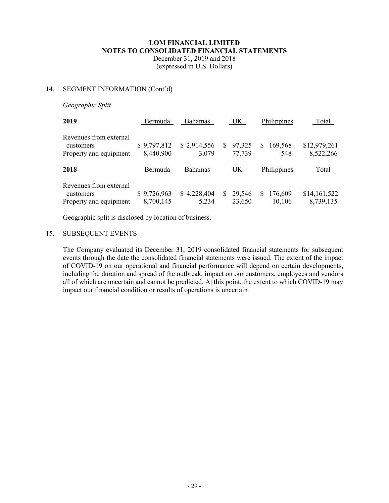(expressed in U.S. Dollars)

#### 14. SEGMENT INFORMATION (Cont'd)

*Geographic Split*

| 2019                                                          | Bermuda                  | <b>Bahamas</b>       | UK                                | Philippines              | Total                     |
|---------------------------------------------------------------|--------------------------|----------------------|-----------------------------------|--------------------------|---------------------------|
| Revenues from external<br>customers<br>Property and equipment | \$9,797,812<br>8,440,900 | \$2,914,556<br>3,079 | 97,325<br><sup>\$</sup><br>77,739 | S.<br>169,568<br>548     | \$12,979,261<br>8,522,266 |
| 2018                                                          | Bermuda                  | <b>Bahamas</b>       | UK.                               | Philippines              | Total                     |
| Revenues from external<br>customers<br>Property and equipment | \$9,726,963<br>8,700,145 | \$4,228,404<br>5,234 | 29,546<br>S.<br>23,650            | \$.<br>176,609<br>10,106 | \$14,161,522<br>8,739,135 |

Geographic split is disclosed by location of business.

#### 15. SUBSEQUENT EVENTS

The Company evaluated its December 31, 2019 consolidated financial statements for subsequent events through the date the consolidated financial statements were issued. The extent of the impact of COVID-19 on our operational and financial performance will depend on certain developments, including the duration and spread of the outbreak, impact on our customers, employees and vendors all of which are uncertain and cannot be predicted. At this point, the extent to which COVID-19 may impact our financial condition or results of operations is uncertain